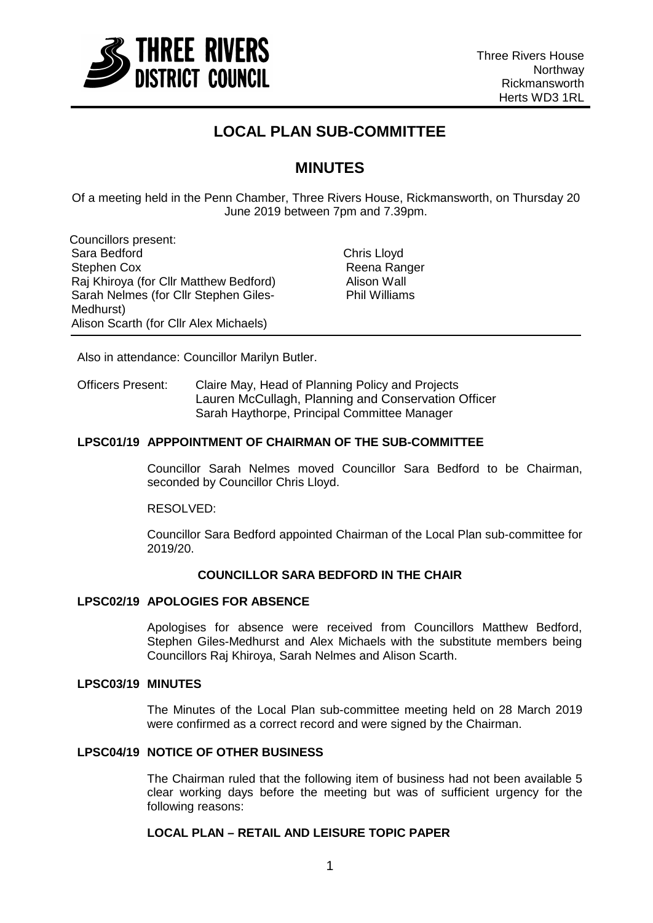

# **LOCAL PLAN SUB-COMMITTEE**

# **MINUTES**

Of a meeting held in the Penn Chamber, Three Rivers House, Rickmansworth, on Thursday 20 June 2019 between 7pm and 7.39pm.

Councillors present: Sara Bedford **Chris Lloyd** Chris Lloyd Stephen Cox Raj Khiroya (for Cllr Matthew Bedford) Sarah Nelmes (for Cllr Stephen Giles-Medhurst) Alison Scarth (for Cllr Alex Michaels)

Reena Ranger Alison Wall Phil Williams

Also in attendance: Councillor Marilyn Butler.

Officers Present: Claire May, Head of Planning Policy and Projects Lauren McCullagh, Planning and Conservation Officer Sarah Haythorpe, Principal Committee Manager

#### **LPSC01/19 APPPOINTMENT OF CHAIRMAN OF THE SUB-COMMITTEE**

Councillor Sarah Nelmes moved Councillor Sara Bedford to be Chairman, seconded by Councillor Chris Lloyd.

RESOLVED:

Councillor Sara Bedford appointed Chairman of the Local Plan sub-committee for 2019/20.

## **COUNCILLOR SARA BEDFORD IN THE CHAIR**

### **LPSC02/19 APOLOGIES FOR ABSENCE**

Apologises for absence were received from Councillors Matthew Bedford, Stephen Giles-Medhurst and Alex Michaels with the substitute members being Councillors Raj Khiroya, Sarah Nelmes and Alison Scarth.

## **LPSC03/19 MINUTES**

The Minutes of the Local Plan sub-committee meeting held on 28 March 2019 were confirmed as a correct record and were signed by the Chairman.

## **LPSC04/19 NOTICE OF OTHER BUSINESS**

The Chairman ruled that the following item of business had not been available 5 clear working days before the meeting but was of sufficient urgency for the following reasons:

#### **LOCAL PLAN – RETAIL AND LEISURE TOPIC PAPER**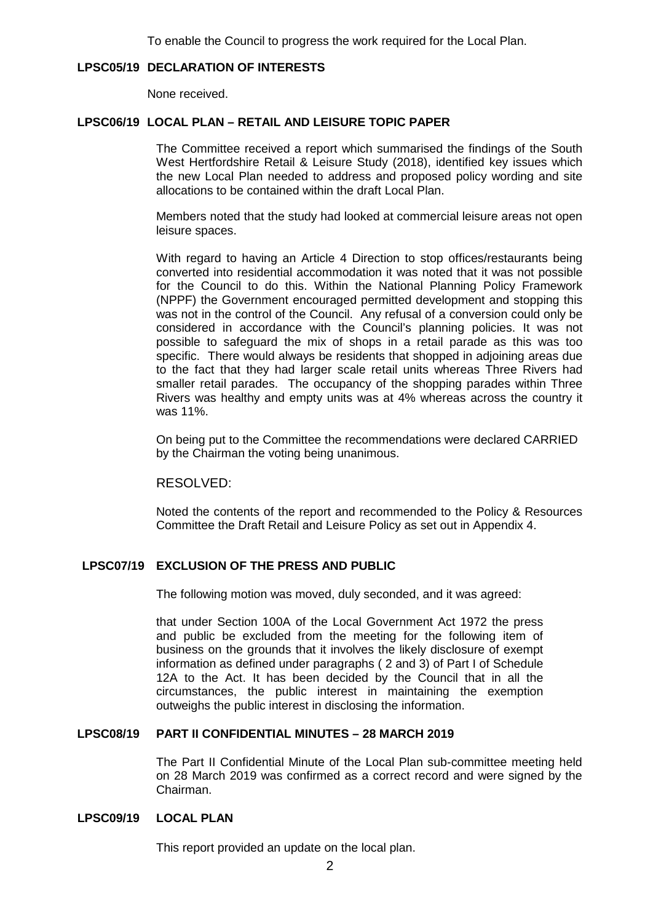To enable the Council to progress the work required for the Local Plan.

## **LPSC05/19 DECLARATION OF INTERESTS**

None received.

## **LPSC06/19 LOCAL PLAN – RETAIL AND LEISURE TOPIC PAPER**

The Committee received a report which summarised the findings of the South West Hertfordshire Retail & Leisure Study (2018), identified key issues which the new Local Plan needed to address and proposed policy wording and site allocations to be contained within the draft Local Plan.

Members noted that the study had looked at commercial leisure areas not open leisure spaces.

With regard to having an Article 4 Direction to stop offices/restaurants being converted into residential accommodation it was noted that it was not possible for the Council to do this. Within the National Planning Policy Framework (NPPF) the Government encouraged permitted development and stopping this was not in the control of the Council. Any refusal of a conversion could only be considered in accordance with the Council's planning policies. It was not possible to safeguard the mix of shops in a retail parade as this was too specific. There would always be residents that shopped in adjoining areas due to the fact that they had larger scale retail units whereas Three Rivers had smaller retail parades. The occupancy of the shopping parades within Three Rivers was healthy and empty units was at 4% whereas across the country it was 11%.

On being put to the Committee the recommendations were declared CARRIED by the Chairman the voting being unanimous.

# RESOLVED:

Noted the contents of the report and recommended to the Policy & Resources Committee the Draft Retail and Leisure Policy as set out in Appendix 4.

# **LPSC07/19 EXCLUSION OF THE PRESS AND PUBLIC**

The following motion was moved, duly seconded, and it was agreed:

that under Section 100A of the Local Government Act 1972 the press and public be excluded from the meeting for the following item of business on the grounds that it involves the likely disclosure of exempt information as defined under paragraphs ( 2 and 3) of Part I of Schedule 12A to the Act. It has been decided by the Council that in all the circumstances, the public interest in maintaining the exemption outweighs the public interest in disclosing the information.

## **LPSC08/19 PART II CONFIDENTIAL MINUTES – 28 MARCH 2019**

The Part II Confidential Minute of the Local Plan sub-committee meeting held on 28 March 2019 was confirmed as a correct record and were signed by the Chairman.

# **LPSC09/19 LOCAL PLAN**

This report provided an update on the local plan.